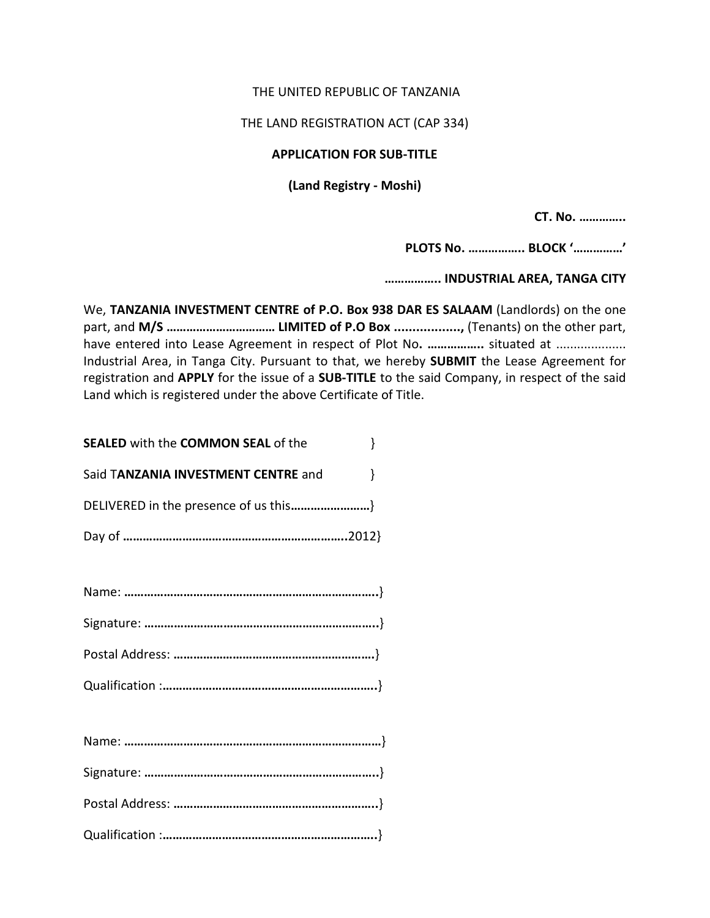## THE UNITED REPUBLIC OF TANZANIA

THE LAND REGISTRATION ACT (CAP 334)

## **APPLICATION FOR SUB-TITLE**

## **(Land Registry - Moshi)**

**CT. No. …………..**

**PLOTS No. …………….. BLOCK '……………'**

**…………….. INDUSTRIAL AREA, TANGA CITY**

We, **TANZANIA INVESTMENT CENTRE of P.O. Box 938 DAR ES SALAAM** (Landlords) on the one part, and **M/S …………………………… LIMITED of P.O Box ..................,** (Tenants) on the other part, have entered into Lease Agreement in respect of Plot No. .................. situated at .................... Industrial Area, in Tanga City. Pursuant to that, we hereby **SUBMIT** the Lease Agreement for registration and **APPLY** for the issue of a **SUB-TITLE** to the said Company, in respect of the said Land which is registered under the above Certificate of Title.

| <b>SEALED</b> with the <b>COMMON SEAL</b> of the |  |
|--------------------------------------------------|--|
| Said TANZANIA INVESTMENT CENTRE and              |  |
| DELIVERED in the presence of us this}            |  |
|                                                  |  |
|                                                  |  |